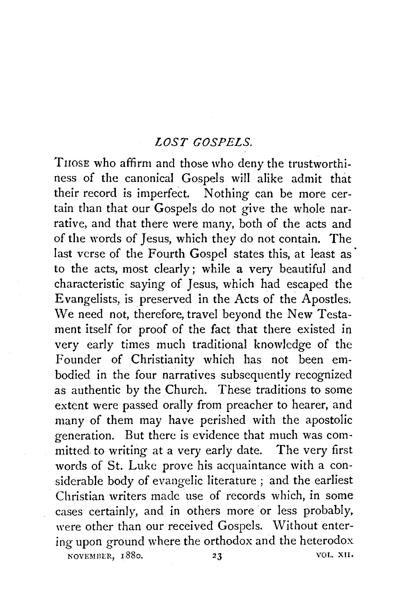## *LOST GOSPELS.*

TnosE who affirm and those who deny the trustworthiness of the canonical Gospels will alike admit that their record is imperfect. Nothing can be more certain than that our Gospels do not give the whole narrative, and that there were many, both of the acts and of the words of Jesus, which they do not contain. The last verse of the Fourth Gospel states this, at least as to the acts, most clearly; while a very beautiful and characteristic saying of Jesus, which had escaped the Evangelists, is preserved in the Acts of the Apostles~ We need not, therefore, travel beyond the New Testament itself for proof of the fact that there existed in very early times much traditional knowledge of the Founder of Christianity which has not been embodied in the four narratives subsequently recognized as authentic by the Church. These traditions to some extent were passed orally from preacher to hearer, and many of them may have perished with the apostolic generation. But there is evidence that much was committed to writing at a very early date. The very first words of St. Luke prove his acquaintance with a considerable body of evangelic literature ; and the earliest Christian writers made use of records which, in some cases certainly, and in others more or less probably, were other than our received Gospels. Without entering upon ground where the orthodox and the heterodox NOVEMBER, 1880. 23 VOL. XII.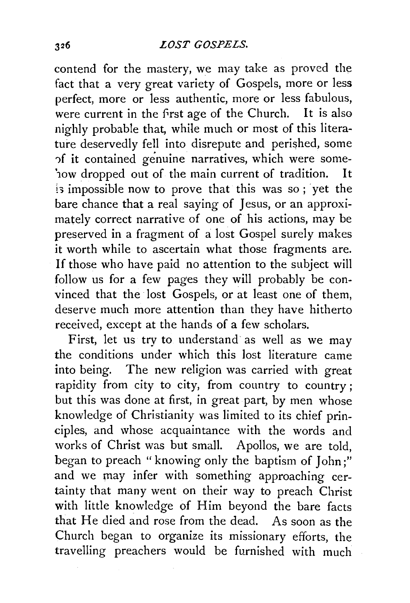## *LOST GOSPELS.*

contend for the mastery, we may take as proved the fact that a very great variety of Gospels, more or less perfect, more or less authentic, more or less fabulous, were current in the first age of the Church. It is also nighly probable that, while much or most of this literature deservedly fell into disrepute and perished, some ')f it contained genuine narratives, which were some- '1ow dropped out of the main current of tradition. It is impossible now to prove that this was so; yet the bare chance that a real saying of Jesus, or an approximately correct narrative of one of his actions, may be preserved in a fragment of a lost Gospel surely makes it worth while to ascertain what those fragments are. If those who have paid no attention to the subject will follow us for a few pages they will probably be convinced that the lost Gospels, or at least one of them, deserve much more attention than they have hitherto received, except at the hands of a few scholars.

First, let us try to understand as well as we may the conditions under which this lost literature came into being. The new religion was carried with great rapidity from city to city, from country to country; but this was done at first, in great part, by men whose knowledge of Christianity was limited to its chief principles, and whose acquaintance with the words and works of Christ was but small. Apollos, we are told, began to preach "knowing only the baptism of John;" and we may infer with something approaching certainty that many went on their way to preach Christ with little knowledge of Him beyond the bare facts that He died and rose from the dead. As soon as the Church began to organize its missionary efforts, the travelling preachers would be furnished with much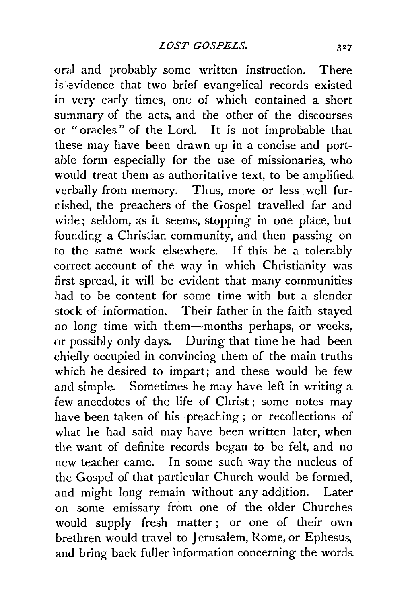oral and probably some written instruction. There is evidence that two brief evangelical records existed in very early times, one of which contained a short summary of the acts, and the other of the discourses or "oracles" of the Lord. It is not improbable that these may have been drawn up in a concise and portable form especially for the use of missionaries, who would treat them as authoritative text, to be amplified verbally from memory. Thus, more or less well furnished, the preachers of the Gospel travelled far and wide; seldom, as it seems, stopping in one place, but founding a Christian community, and then passing on to the same work elsewhere. If this be a tolerably correct account of the way in which Christianity was first spread, it will be evident that many communities had to be content for some time with but a slender stock of information. Their father in the faith stayed no long time with them-months perhaps, or weeks, or possibly only days. During that time he had been chiefly occupied in convincing them of the main truths which he desired to impart; and these would be few and simple. Sometimes he may have left in writing a few anecdotes of the life of Christ ; some notes may have been taken of his preaching ; or recollections of what he had said may have been written later, when the want of definite records began to be felt, and no new teacher came. In some such way the nucleus of the Gospel of that particular Church would be formed, and might long remain without any addjtion. Later on some emissary from one of the older Churches would supply fresh matter ; or one of their own brethren would travel to Jerusalem, Rome, or Ephesus, and bring back fuller information concerning the words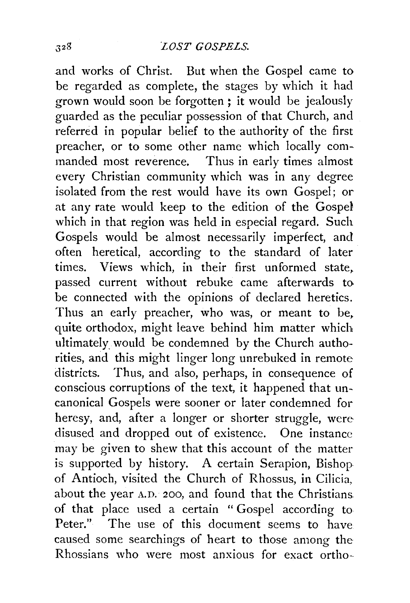and works of Christ. But when the Gospel came to be regarded as complete, the stages by which it had grown would soon be forgotten ; it would be jealously guarded as the peculiar possession of that Church, and referred in popular belief to the authority of the first preacher, or to some other name which locally commanded most reverence. Thus in early times almost every Christian community which was in any degree isolated from the rest would have its own Gospel; or at any rate would keep to the edition of the Gospd which in that region was held in especial regard. Such Gospels would be almost necessarily imperfect, and often heretical, according to the standard of later times. Views which, in their first unformed state, passed current without rebuke came afterwards to be connected with the opinions of declared heretics. Thus an early preacher, who was, or meant to be, quite orthodox, might leave behind him matter which ultimately. would be condemned by the Church authorities, and this might linger long unrebuked in remote districts. Thus, and also, perhaps, in consequence of conscious corruptions of the text, it happened that uncanonical Gospels were sooner or later condemned for heresy, and, after a longer or shorter struggle, were disused and dropped out of existence. One instance may be given to shew that this account of the matter is supported by history. A certain Serapion, Bishop of Antioch, visited the Church of Rhossus, in Cilicia, about the year A.D. 200, and found that the Christians. of that place used a certain " Gospel according to Peter." The use of this document seems to have caused some searchings of heart to those among the Rhossians who were most anxious for exact ortho-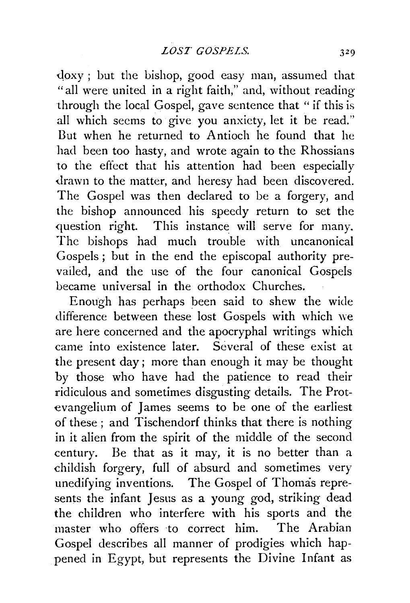doxy; but the bishop, good easy man, assumed that "all were united in a right faith," and, without reading through the local Gospel, gave sentence that "if this is all which seems to give you anxiety, let it be read." Dut when he returned to Antioch he found that he had been too hasty, and wrote again to the Rhossians to the effect that his attention had been especially drawn to the matter, and heresy had been discovered. The Gospel was then declared to be a forgery, and the bishop announced his speedy return to set the question right. This instance will serve for many. The bishops had much trouble with uncanonical Gospels ; but in the end the episcopal authority prevailed, and the use of the four canonical Gospels became universal in the orthodox Churches.

Enough has perhaps been said to shew the wide difference between these lost Gospels with which we are here concerned and the apocryphal writings which came into existence later. Several of these exist at the present day; more than enough it may be thought by those who have had the patience to read their ridiculous and sometimes disgusting details. The Protevangelium of James seems to be one of the earliest of these ; and Tischendorf thinks that there is nothing in it alien from the spirit of the middle of the second century. Be that as it may, it is no better than a childish forgery, full of absurd and sometimes very unedifying inventions. The Gospel of Thomas represents the infant Jesus as a young god, striking dead the children who interfere with his sports and the master who offers to correct him. The Arabian Gospel describes all manner of prodigies which happened in Egypt, but represents the Divine Infant as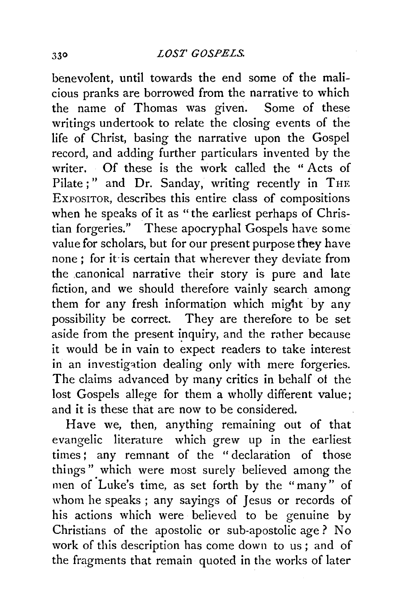benevolent, until towards the end some of the malicious pranks are borrowed from the narrative to which the name of Thomas was given. Some of these writings undertook to relate the closing events of the life of Christ, basing the narrative upon the Gospel record, and adding further particulars invented by the writer. Of these is the work called the "Acts of Pilate;" and Dr. Sanday, writing recently in THE EXPOSITOR, describes this entire class of compositions when he speaks of it as "the earliest perhaps of Christian forgeries." These apocryphal Gospels have some value for scholars, but for our present purpose they have none : for it-is certain that wherever they deviate from the ,canonical narrative their story is pure and late fiction, and we should therefore vainly search among them for any fresh information which might by any possibility be correct. They are therefore to be set aside from the present inquiry, and the rather because it would be in vain to expect readers to take interest in an investigation dealing only with mere forgeries. The claims advanced by many critics in behalf of the lost Gospels allege for them a wholly different value; and it is these that are now to be considered.

Have we, then, anything remaining out of that evangelic literature which grew up in the earliest times : any remnant of the " declaration of those things" which were most surely believed among the men of 'Luke's time, as set forth by the "many" of whom he speaks ; any sayings of Jesus or records of his actions which were believed to be genuine by Christians of the apostolic or sub-apostolic age? No work of this description has come down to us ; and of the fragments that remain quoted in the works of later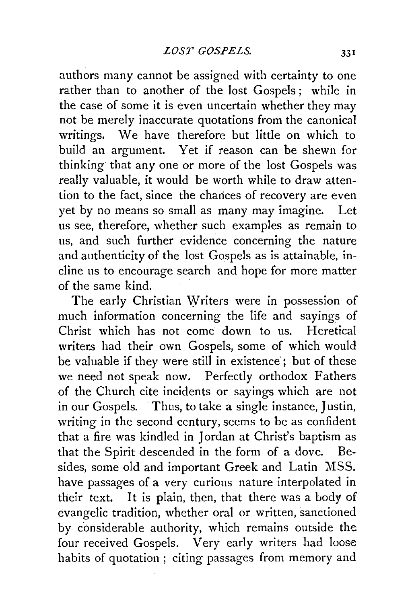authors many cannot be assigned with certainty to one rather than to another of the lost Gospels; while in the case of some it is even uncertain whether they may not be merely inaccurate quotations from the canonical writings. We have therefore but little on which to build an argument. Yet if reason can be shewn for thinking that any one or more of the lost Gospels was really valuable, it would be worth while to draw attention to the fact, since the chances of recovery are even yet by no means so small as many may imagine. Let us see, therefore, whether such examples as remain to us, and such further evidence concerning the nature and authenticity of the lost Gospels as is attainable, incline us to encourage search and hope for more matter of the same  $\operatorname{kind}$ .

The early Christian Writers were in possession of much information concerning the life and sayings of Christ which has not come down to us. Heretical writers had their own Gospels, some of which would be valuable if they were still in existence; but of these we need not speak now. Perfectly orthodox Fathers of the Church cite incidents or sayings which are not in our Gospels. Thus, to take a single instance, Justin, writing in the second century, seems to be as confident that a fire was kindled in Jordan at Christ's baptism as that the Spirit descended in the form of a dove. Besides, some old and important Greek and Latin MSS. have passages of a very curious nature interpolated in their text. It is plain, then, that there was a body of evangelic tradition, whether oral or written, sanctioned by considerable authority, which remains outside the four received Gospels. Very early writers had loose habits of quotation ; citing passages from memory and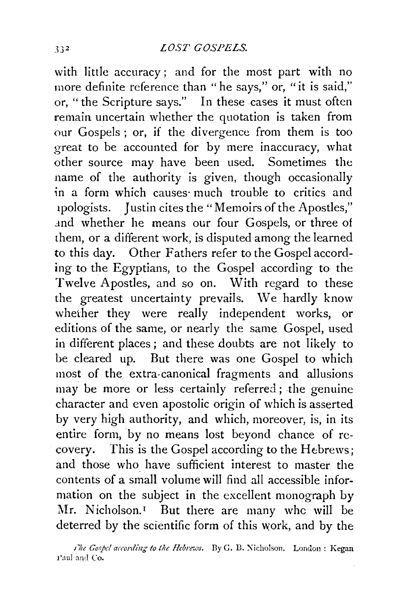with little accuracy ; and for the most part with no more definite reference than "he says," or, "it is said," or, "the Scripture says." In these cases it must often remain uncertain whether the quotation is taken from our Gospels ; or, if the divergence from them is too great to be accounted for by mere inaccuracy, what other source may have been used. Sometimes the name of the authority is given, though occasionally in a form which causes much trouble to critics and 1pologists. J ustin cites the "Memoirs of the Apostles," .md whether he means our four Gospels, or three of them, or a different work, is disputed among the learned to this day. Other Fathers refer to the Gospel according to the Egyptians, to the Gospel according to the Twelve Apostles, and so on. With regard to these the greatest uncertainty prevails. We hardly know wheiher they were really independent works, or editions of the same, or nearly the same Gospel, used in different places ; and these doubts are not likely to be cleared up. But there was one Gospel to which most of the extra-canonical fragments and allusions may be more or less certainly referred; the genuine character and even apostolic origin of which is asserted by very high authority, and which, moreover, is, in its entire form, by no means lost beyond chance of recovery. This is the Gospel according to the Hebrews; and those who have sufficient interest to master the contents of a small volume will find all accessible information on the subject in the excellent monograph by Mr. Nicholson.<sup>1</sup> But there are many whc will be deterred by the scientific form of this work, and by the

*i*he Gospel according to the Hebrews. By G. B. Nicholson. London : Kegan Paul and Co.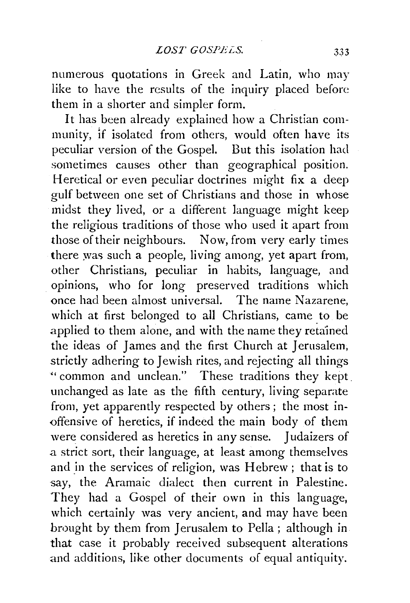numerous quotations in Greek and Latin, who may like to have the results of the inquiry placed before them in a shorter and simpler form.

It has been already explained how a Christian community, 1f isolated from others, would often have its peculiar version of the Gospel. But this isolation had sometimes causes other than geographical position. Heretical or even peculiar doctrines might fix a deep gulf between one set of Christians and those in whose midst they lived, or a different language might keep the religious traditions of those who used it apart from those of their neighbours. Now, from very early times there was such a people, living among, yet apart from, other Christians, peculiar in habits, language, and opinions, who for long preserved traditions which once had been almost universal. The name Nazarene, which at first belonged to all Christians, came to be applied to them alone, and with the name they reta'ined the ideas of James and the first Church at Jerusalem, strictly adhering to Jewish rites, and rejecting all things " common and unclean." These traditions they kept . unchanged as late as the fifth century, living separate from, yet apparently respected by others ; the most in- <>ffensive of heretics, if indeed the main body of them were considered as heretics in any sense. Judaizers of a strict sort, their language, at least among themselves and in the services of religion, was Hebrew; that is to say, the Aramaic dialect then current in Palestine. They had a Gospel of their own in this language, which certainly was very ancient, and may have been brought by them from Jerusalem to Pella ; although in that case it probably received subsequent alterations and additions, like other documents of equal antiquity.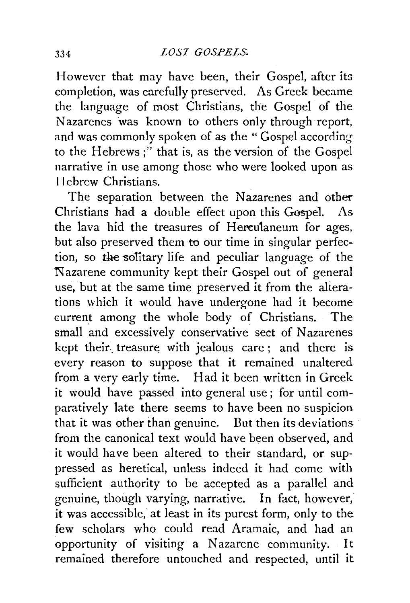However that may have been, their Gospel, after its completion, was carefully preserved. As Greek became the language of most Christians, the Gospel of the Nazarenes was known to others only through report, and was commonly spoken of as the "Gospel according to the Hebrews;" that is, as the version of the Gospel narrative in use among those who were looked upon as 11 ebrew Christians.

The separation between the Nazarenes and other Christians had a double effect upon this Gospel. As the lava hid the treasures of Hereulaneum for ages, but also preserved them to our time in singular perfection, so the solitary life and peculiar language of the Nazarene community kept their Gospel out of general use, but at the same time preserved it from the alterations which it would have undergone had it become current among the whole body of Christians. The small and excessively conservative sect of Nazarenes kept their. treasure with jealous care; and there is every reason to suppose that it remained unaltered from a very early time. Had it been written in Greek it would have passed into general use; for until comparatively late there seems to have been no suspicion that it was other than genuine. But then its deviations from the canonical text would have been observed, and it would have been altered to their standard, or suppressed as heretical, unless indeed it had come with sufficient authority to be accepted as a parallel and genuine, though varying, narrative. In fact, however, it was accessible, at least in its purest form, only to the few scholars who could read Aramaic, and had an opportunity of visiting a Nazarene community. It remained therefore untouched and respected, until it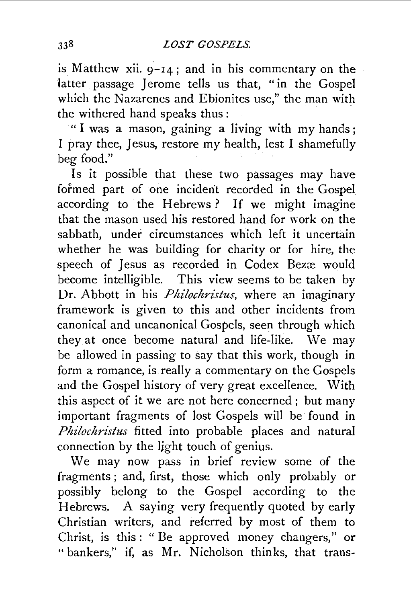is Matthew xii.  $9-14$ ; and in his commentary on the latter passage Jerome tells us that, "in the Gospel which the Nazarenes and Ebionites use," the man with the withered hand speaks thus :

"I was a mason, gaining a living with my hands; I pray thee, Jesus, restore my health, lest I shamefully beg food."

Is it possible that these two passages may have formed part of one incident recorded in the Gospel according to the Hebrews? If we might imagine that the mason used his restored hand for work on the sabbath, under circumstances which left it uncertain whether he was building for charity or for hire, the speech of Jesus as recorded in Codex Bezæ would become intelligible. This view seems to be taken by Dr. Abbott in his *Philochristus*, where an imaginary framework is given to this and other incidents from canonical and uncanonical Gospels, seen through which they at once become natural and life-like. We may be allowed in passing to say that this work, though in form a romance, is really a commentary on the Gospels and the Gospel history of very great excellence. With this aspect of it we are not here concerned ; but many important fragments of lost Gospels will be found in *Philochristus* fitted into probable places and natural connection by the Ijght touch of genius.

We may now pass in brief review some of the fragments ; and, first, those which only probably or possibly belong to the Gospel according to the Hebrews. A saying very frequently quoted by early Christian writers, and referred by most of them to Christ, is this: " Be approved money changers," or "bankers," if, as Mr. Nicholson thinks, that trans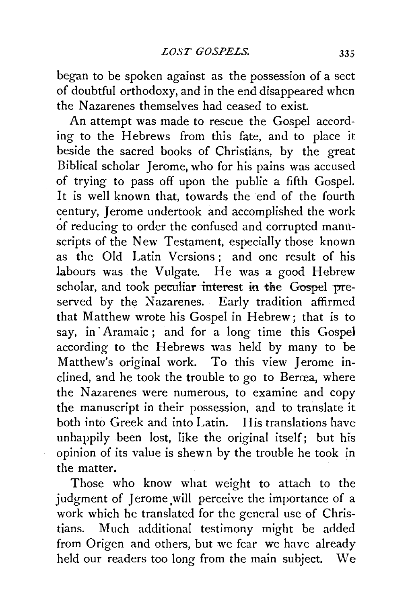began to be spoken against as the possession of a sect of doubtful orthodoxy, and in the end disappeared when the Nazarenes themselves had ceased to exist.

An attempt was made to rescue the Gospel according to the Hebrews from this fate, and to place it beside the sacred books of Christians, by the great Biblical scholar Jerome, who for his pains was accused of trying to pass off upon the public a fifth Gospel. It is well known that, towards the end of the fourth century, Jerome undertook and accomplished the work of reducing to order the confused and corrupted manuscripts of the New Testament, especially those known as the Old Latin Versions ; and one result of his labours was the Vulgate. He was a good Hebrew scholar, and took peculiar interest in the Gospel preserved by the Nazarenes. Early tradition affirmed that Matthew wrote his Gospel in Hebrew; that is to say, in· Aramaic; and for a long time this Gospel according to the Hebrews was held by many to be Matthew's original work. To this view Jerome inclined, and he took the trouble to go to Bercea, where the Nazarenes were numerous, to examine and copy the manuscript in their possession, and to translate it both into Greek and into Latin. His translations have unhappily been lost, like the original itself; but his opinion of its value is shewn by the trouble he took in the matter.

Those who know what weight to attach to the judgment of Jerome will perceive the importance of a work which he translated for the general use of Christians. Much additional testimony might be added from Origen and others, but we fear we have already held our readers too long from the main subject. We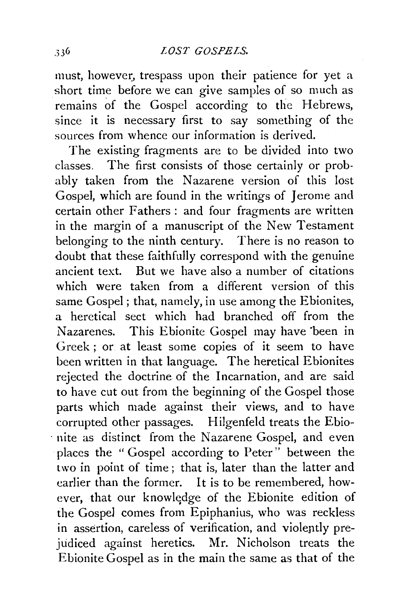must, however, trespass upon their patience for yet a short time before we can give samples of so much as remains of the Gospel according to the Hebrews, since it is necessary first to say something of the sources from whence our information is derived.

The existing fragments are to be divided into two classes. The first consists of those certainly or probably taken from the Nazarene version of this lost Gospel, which are found in the writings of Jerome and certain other Fathers : and four fragments are written in the margin of a manuscript of the New Testament belonging to the ninth century. There is no reason to doubt that these faithfully correspond with the genuine ancient text. But we have also a number of citations which were taken from a different version of this same Gospel; that, namely, in use among the Ebionites, a heretical sect which had branched off from the Nazarenes. This Ebionite Gospel may have 'been in Greek ; or at least some copies of it seem to have been written in that language. The heretical Ebionites rejected the doctrine of the Incarnation, and are said to have cut out from the beginning of the Gospel those parts which made against their views, and to have corrupted other passages. Hilgenfeld treats the Ebio- . nite as distinct from the Nazarene Gospel, and even places the " Gospel according to Peter" between the two in point of time; that is, later than the latter and earlier than the former. It is to be remembered, however, that our knowledge of the Ebionite edition of the Gospel comes from Epiphanius, who was reckless in assertion, careless of verification, and violeptly prejudiced against heretics. Mr. Nicholson treats the Ebionite Gospel as in the main the same as that of the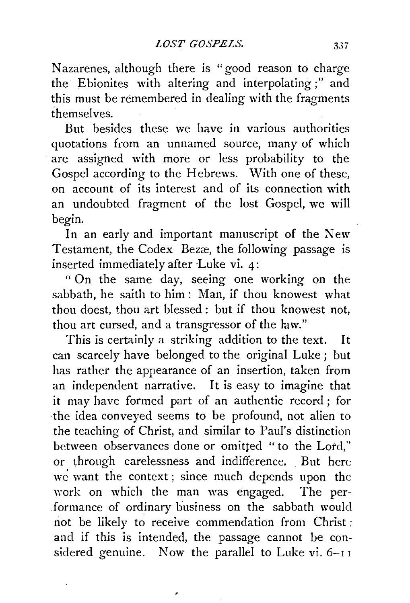Nazarenes, although there is "good reason to charge the Ebionites with altering and interpolating;" and this must be remembered in dealing with the fragments themselves.

But besides these we have in various authorities quotations *ftom* an unnamed source, many of which are assigned with more or less probability to the Gospel according to the Hebrews. With one of these, on account of its interest and of its connection with an undoubted fragment of the lost Gospel, we will begin.

In an early and important manuscript of the New Testament, the Codex Bezæ, the following passage is inserted immediately after Luke vi. 4:

" On the same day, seeing one working on the sabbath, he saith to him: Man, if thou knowest what thou doest, thou art blessed : but if thou knowest not, thou art cursed, and a transgressor of the law."

This is certainly a striking addition to the text. It can scarcely have belonged to the original Luke ; but has rather the appearance of an insertion, taken from an independent narrative. It is easy to imagine that it may have formed part of an authentic record; for the idea conveyed seems to be profound, not alien to the teaching of Christ, and similar to Paul's distinction between observances done or omitted " to the Lord," or through carelessness and indifference. But here we want the context; since much depends upon the work on which the man was engaged. The performance of ordinary business on the sabbath would not be likely to receive commendation from Christ ; and if this is intended, the passage cannot be considered genuine. Now the parallel to Luke vi. 6-11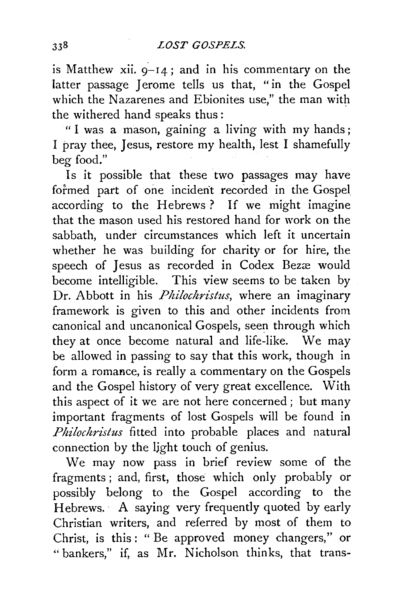is Matthew xii.  $9-14$ ; and in his commentary on the latter passage Jerome tells us that, "in the Gospel which the Nazarenes and Ebionites use," the man with the withered hand speaks thus:

" I was a mason, gaining a living with my hands; I pray thee, Jesus, restore my health, lest I shamefully beg food."

Is it possible that these two passages may have formed part of one incident recorded in the Gospel according to the Hebrews? If we might imagine that the mason used his restored hand for work on the sabbath, under circumstances which left it uncertain whether he was building for charity or for hire, the speech of Jesus as recorded in Codex Bezæ would become intelligible. This view seems to be taken by Dr. Abbott in his *Philochristus*, where an imaginary framework is given to this and other incidents from canonical and uncanonical Gospels, seen through which they at once become natural and life-like. We may be allowed in passing to say that this work, though in form a romance, is really a commentary on the Gospels and the Gospel history of very great excellence. With this aspect of it we are not here concerned ; but many important fragments of lost Gospels will be found in *Phi!ochristus* fitted into probable places and natural connection by the light touch of genius.

We may now pass in brief review some of the fragments ; and, first, those which only probably or possibly belong to the Gospel according to the Hebrews. A saying very frequently quoted by early Christian writers, and referred by most of them to Christ, is this: "Be approved money changers," or "bankers," if, as Mr. Nicholson thinks, that trans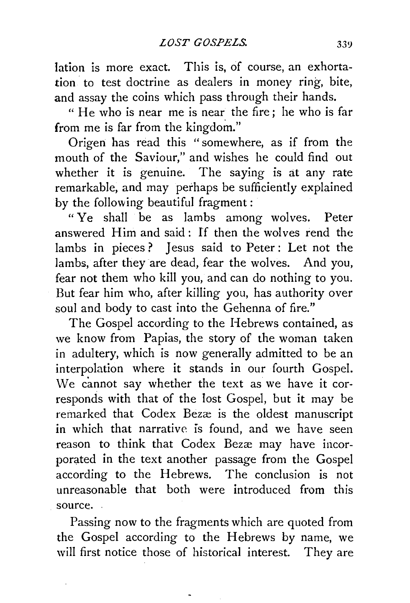Iation is more exact. This is, of course, an exhortation to test doctrine as dealers in money ring, bite, and assay the coins which pass through their hands.

" He who is near me is near the fire; he who is far from me is far from the kingdom."

Origen: has read this "somewhere, as if from the mouth of the Saviour," and wishes he could find out whether it is genuine. The saying is at any rate remarkable, and may perhaps be sufficiently explained by the following beautiful fragment:

"Ye shall be as lambs among wolves. Peter answered Him and said: lf then the wolves rend the lambs in pieces ? Jesus said to Peter: Let not the lambs, after they are dead, fear the wolves. And you, fear not them who kill you, and can do nothing to you. But fear him who, after killing you, has authority over soul and body to cast into the Gehenna of fire."

The Gospel according to the Hebrews contained, as we know from Papias, the story of the woman taken in adultery, which is now generally admitted to be an interpolation where it stands in our fourth Gospel. We cannot say whether the text as we have it corresponds with that of the lost Gospel, but it may be remarked that Codex Bezæ is the oldest manuscript in which that narrative is found, and we have seen reason to think that Codex Bezæ may have incorporated in the text another passage from the Gospel according to the Hebrews. The conclusion is not unreasonable that both were introduced from this source.

Passing now to the fragments which are quoted from the Gospel according to the Hebrews by name, we will first notice those of historical interest. They are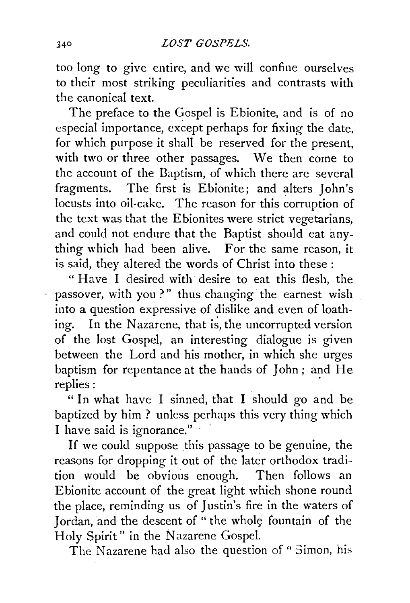too long to give entire, and we will confine ourselves to their most striking peculiarities and contrasts with the canonical text.

The preface to the Gospel is Ebionite, and is of no especial importance, except perhaps for fixing the date, for which purpose it shall be reserved for the present, with two or three other passages. We then come to the account of the Baptism, of which there are several fragments. The first is Ebionite; and alters John's locusts into oil-cake. The reason for this corruption of the text was that the Ebionites were strict vegetarians, and could not endure that the Baptist should eat anything which had been alive. For the same reason, it is said, they altered the words of Christ into these :

" Have I desired with desire to eat this flesh, the passover, with you?" thus changing the earnest wish into a question expressive of dislike and even of loathing. In the Nazarene, that is, the uncorrupted version of the lost Gospel, an interesting dialogue is given between the Lord and his mother, in which she urges baptism for repentance at the hands of John; and He replies:

" In what have I sinned, that I should go and be baptized by him ? unless perhaps this very thing which I have said is ignorance." $\cdot$ 

If we could suppose this passage to be genuine, the reasons for dropping it out of the later orthodox tradition would be obvious enough. Then follows an Ebionite account of the great light which shone round the place, reminding us of Justin's fire in the waters of Jordan, and the descent of " the whole fountain of the Holy Spirit" in the Nazarene Gospel.

The Nazarene had also the question of " Simon, his

Ļ,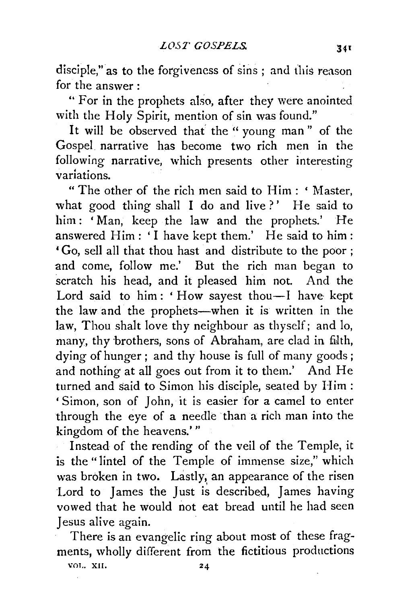disciple," as to the forgiveness of sins ; and this reason for the answer :

" For in the prophets also, after they were anointed with the Holy Spirit, mention of sin was found."

It will be observed that' the "young man" of the GospeL narrative has become two rich men in the following narrative, which presents other interesting variations.

"The other of the rich men said to Him : ' Master, what good thing shall I do and live?' He said to him: 'Man, keep the law and the prophets.' He answered Him: 'I have kept them.' He said to him: 'Go, sell all that thou hast and distribute to the poor ; and come, follow me.' But the rich man began to scratch his head, and it pleased him not. And the Lord said to him: 'How sayest thou-I have kept the law and the prophets-when it is written in the law, Thou shalt love thy neighbour as thyself; and lo, many, thy brothers, sons of Abraham, are clad in filth, dying of hunger ; and thy house is full of many goods ; and nothing at all goes out from it to them.' And He turned and said to Simon his disciple, seated by Him : ' Simon, son of John, it is easier for a camel to enter through the eye of a needle than a rich man into the kingdom of the heavens.'"

Instead of the rending of the veil of the Temple, it is the "lintel of the Temple of immense size," which was broken in two. Lastly, an appearance of the risen Lord to James the Just is described, James having vowed that he would not eat bread until he had seen Jesus alive again.

There is an evangelic ring about most of these fragments, wholly different from the fictitious productions

VOT,. XII.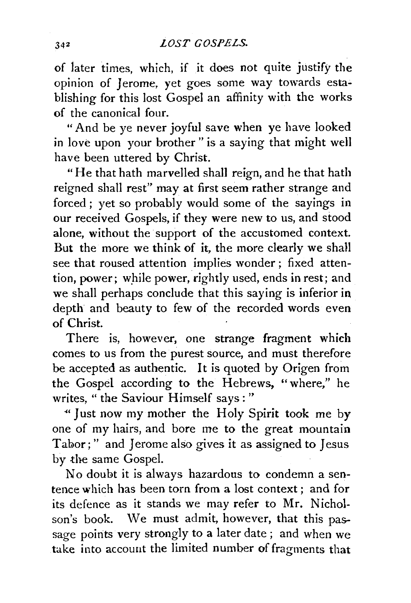of later times, which, if it does not quite justify the opinion of Jerome, yet goes some way towards establishing for this lost Gospel an affinity with the works of the canonical four.

"And be ye never joyful save when ye have looked in love upon your brother" is a saying that might well have been uttered by Christ.

"He that hath marvelled shall reign, and he that hath reigned shall rest" may at first seem rather strange and forced ; yet so probably would some of the sayings in our received Gospels, if they were new to us, and stood alone, without the support of the accustomed context. But the more we think of it, the more clearly we shall see that roused attention implies wonder ; fixed attention, power; while power, rightly used, ends in rest; and we shall perhaps conclude that this saying is inferior in depth and beauty to few of the recorded words even of Christ.

There is, however, one strange fragment which comes to us from the purest source, and must therefore be accepted as authentic. It is quoted by Origen from the Gospel according to the Hebrews, "where," he writes, *"the* Saviour Himself says:"

"''Just now my mother the Holy Spirit took me by one of my hairs, and bore me to the great mountain Tabor;" and Jerome also gives it as assigned to Jesus by the same Gospel.

No doubt it is always hazardous to condemn a sentence which has been torn from a lost context; and for its defence as it stands we may refer to Mr. Nicholson's book. We must admit, however, that this passage points very strongly to a later date ; and when we take into account the limited number of fragments that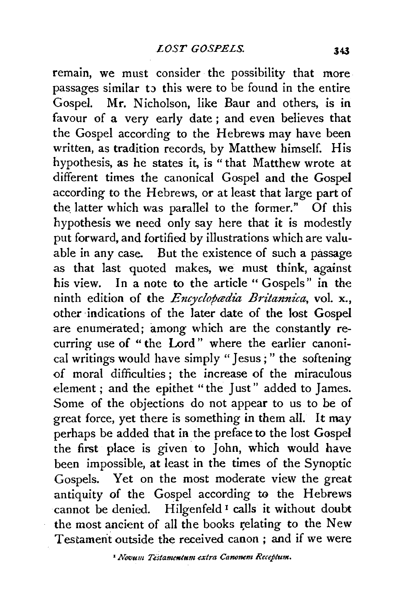remain, we must consider the possibility that more passages similar to this were to be found in the entire Gospel. Mr. Nicholson, like Baur and others, is in favour of a very early date ; and even believes that the Gospel according to the Hebrews may have been written, as tradition records, by Matthew himself. His hypothesis, as he states it, is "that Matthew wrote at different times the canonical Gospel and the Gospel according to the Hebrews, or at least that large part of the latter which was parallel to the former." Of this hypothesis we need only say here that it is modestly put forward, and fortified by illustrations which are valuable in any case. But the existence of such a passage as that last quoted makes, we must think, against his view. In a note to the article "Gospels" in the ninth edition of the *Encyclopædia Britannica*, vol. x., other indications of the later date of the lost Gospel are enumerated; among which are the constantly recurring use of " the Lord " where the earlier canonical writings would have simply "Jesus; " the softening of moral difficulties ; the increase of the miraculous element ; and the epithet "the Just" added to James. Some of the objections do not appear to us to be of great force, yet there is something in them all. It may perhaps be added that in the preface to the lost Gospel the first place is given to John, which would have been impossible, at least in the times of the Synoptic Gospels. Yet on the most moderate view the great antiquity of the Gospel according to the Hebrews cannot be denied. Hilgenfeld<sup>1</sup> calls it without doubt the most ancient of all the books relating to the New Testament outside the received canon ; and if we were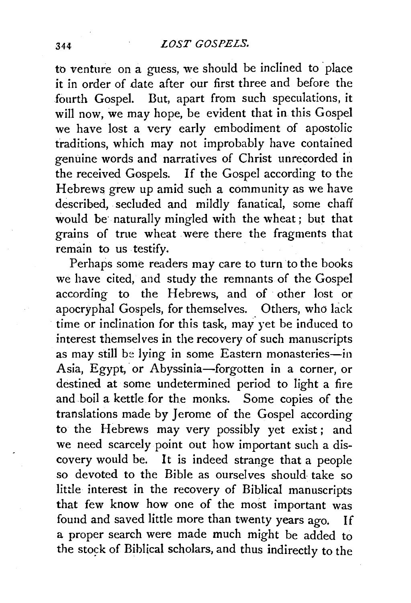to venture on a guess, we should be inclined to place it in order of date after our first three and before the fourth Gospel. But, apart from such speculations, it will now, we may hope, be evident that in this Gospel we have lost a very early embodiment of apostolic traditions, which may not improbably have contained genuine words and narratives of Christ unrecorded in the received Gospels. If the Gospel according to the Hebrews grew up amid such a community as we have described, secluded and mildly fanatical, some chaff would be· naturally mingled with the wheat; but that grains of true wheat were there the fragments that remain to us testify.

Perhaps some readers may care to turn to the books we have cited, and study the remnants of the Gospel according to the Hebrews, and of other lost or apocryphal Gospels, for themselves. Others, who lack time or inclination for this task, may yet be induced to interest themselves in the recovery of such manuscripts as may still be lying in some Eastern monasteries-in Asia, Egypt, or Abyssinia-forgotten in a corner, or destined at some undetermined period to light a fire and boil a kettle for the monks. Some copies of the translations made by Jerome of the Gospel according to the Hebrews may very possibly yet exist; and we need scarcely point out how important such a discovery would be. It is indeed strange that a people so devoted to the Bible as ourselves should take so little interest in the recovery of Biblical manuscripts that few know how one of the most important was found and saved little more than twenty years ago. If a proper search were made much might be added to the stock of Biblical scholars, and thus indirectly to the